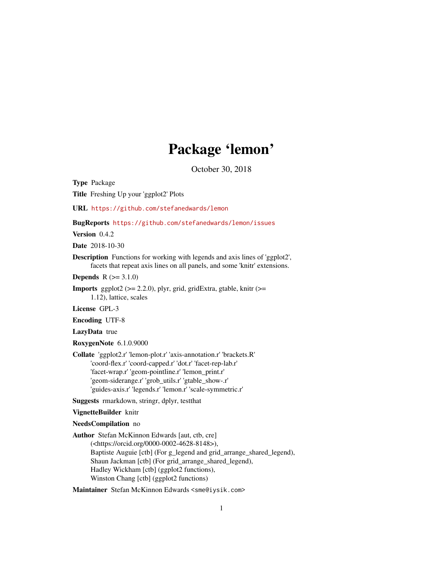# Package 'lemon'

October 30, 2018

<span id="page-0-0"></span>Type Package

Title Freshing Up your 'ggplot2' Plots

URL <https://github.com/stefanedwards/lemon>

BugReports <https://github.com/stefanedwards/lemon/issues>

Version 0.4.2

Date 2018-10-30

Description Functions for working with legends and axis lines of 'ggplot2', facets that repeat axis lines on all panels, and some 'knitr' extensions.

**Depends**  $R (= 3.1.0)$ 

**Imports** ggplot2 ( $>= 2.2.0$ ), plyr, grid, gridExtra, gtable, knitr ( $>=$ 1.12), lattice, scales

License GPL-3

Encoding UTF-8

LazyData true

RoxygenNote 6.1.0.9000

Collate 'ggplot2.r' 'lemon-plot.r' 'axis-annotation.r' 'brackets.R' 'coord-flex.r' 'coord-capped.r' 'dot.r' 'facet-rep-lab.r' 'facet-wrap.r' 'geom-pointline.r' 'lemon\_print.r' 'geom-siderange.r' 'grob\_utils.r' 'gtable\_show-.r' 'guides-axis.r' 'legends.r' 'lemon.r' 'scale-symmetric.r'

Suggests rmarkdown, stringr, dplyr, testthat

VignetteBuilder knitr

NeedsCompilation no

Author Stefan McKinnon Edwards [aut, ctb, cre] (<https://orcid.org/0000-0002-4628-8148>), Baptiste Auguie [ctb] (For g\_legend and grid\_arrange\_shared\_legend), Shaun Jackman [ctb] (For grid\_arrange\_shared\_legend), Hadley Wickham [ctb] (ggplot2 functions), Winston Chang [ctb] (ggplot2 functions)

Maintainer Stefan McKinnon Edwards <sme@iysik.com>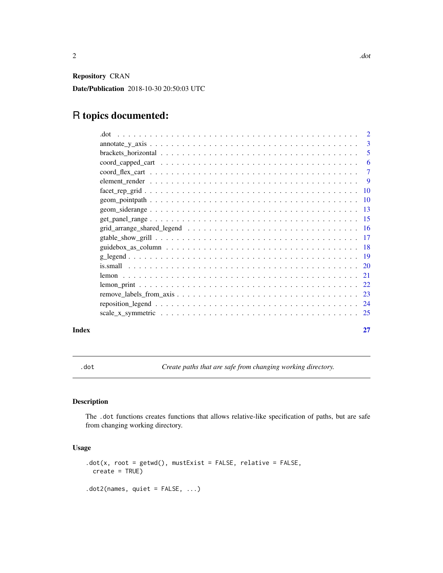<span id="page-1-0"></span>Repository CRAN

Date/Publication 2018-10-30 20:50:03 UTC

# R topics documented:

| .dot                                                                                                          | $\overline{2}$ |
|---------------------------------------------------------------------------------------------------------------|----------------|
|                                                                                                               | $\overline{3}$ |
|                                                                                                               | 5              |
|                                                                                                               | 6              |
|                                                                                                               | $\overline{7}$ |
|                                                                                                               | - 9            |
|                                                                                                               |                |
|                                                                                                               |                |
|                                                                                                               |                |
|                                                                                                               |                |
| $grid\_arrange\_shared\_legend \dots \dots \dots \dots \dots \dots \dots \dots \dots \dots \dots \dots \dots$ |                |
|                                                                                                               |                |
|                                                                                                               |                |
|                                                                                                               |                |
|                                                                                                               |                |
|                                                                                                               |                |
|                                                                                                               |                |
|                                                                                                               |                |
|                                                                                                               |                |
|                                                                                                               |                |
|                                                                                                               |                |

#### **Index** [27](#page-26-0)

<span id="page-1-1"></span>.dot *Create paths that are safe from changing working directory.*

# Description

The .dot functions creates functions that allows relative-like specification of paths, but are safe from changing working directory.

# Usage

```
dot(x, root = getwd(), mustExist = FALSE, relative = FALSE,create = TRUE)
.dot2(names, quiet = FALSE, ...)
```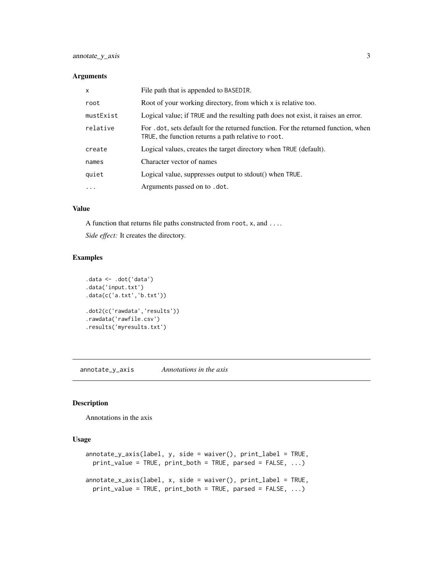#### <span id="page-2-0"></span>Arguments

| $\mathsf{x}$ | File path that is appended to BASEDIR.                                                                                                    |
|--------------|-------------------------------------------------------------------------------------------------------------------------------------------|
| root         | Root of your working directory, from which x is relative too.                                                                             |
| mustExist    | Logical value; if TRUE and the resulting path does not exist, it raises an error.                                                         |
| relative     | For . dot, sets default for the returned function. For the returned function, when<br>TRUE, the function returns a path relative to root. |
| create       | Logical values, creates the target directory when TRUE (default).                                                                         |
| names        | Character vector of names                                                                                                                 |
| quiet        | Logical value, suppresses output to stdout() when TRUE.                                                                                   |
| $\cdot$      | Arguments passed on to .dot.                                                                                                              |

# Value

A function that returns file paths constructed from root, x, and ....

*Side effect:* It creates the directory.

#### Examples

```
.data <- .dot('data')
.data('input.txt')
.data(c('a.txt','b.txt'))
.dot2(c('rawdata','results'))
.rawdata('rawfile.csv')
.results('myresults.txt')
```
annotate\_y\_axis *Annotations in the axis*

#### Description

Annotations in the axis

#### Usage

```
annotate_y_axis(label, y, side = waiver(), print_label = TRUE,
 print_value = TRUE, print_both = TRUE, parsed = FALSE, ...)
annotate_x_axis(label, x, side = waiver(), print_label = TRUE,
 print_value = TRUE, print_both = TRUE, parsed = FALSE, ...)
```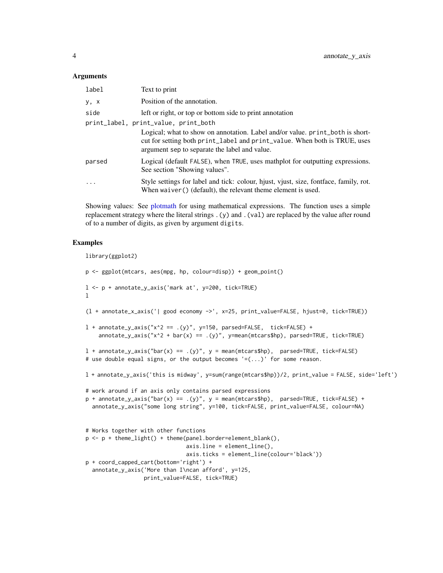#### <span id="page-3-0"></span>Arguments

| label   | Text to print                                                                                                                                                                                                                                       |
|---------|-----------------------------------------------------------------------------------------------------------------------------------------------------------------------------------------------------------------------------------------------------|
| y, x    | Position of the annotation.                                                                                                                                                                                                                         |
| side    | left or right, or top or bottom side to print annotation                                                                                                                                                                                            |
|         | print_label, print_value, print_both<br>Logical; what to show on annotation. Label and/or value, print_both is short-<br>cut for setting both print_label and print_value. When both is TRUE, uses<br>argument sep to separate the label and value. |
| parsed  | Logical (default FALSE), when TRUE, uses mathplot for outputting expressions.<br>See section "Showing values".                                                                                                                                      |
| $\cdot$ | Style settings for label and tick: colour, hjust, vjust, size, fontface, family, rot.<br>When $waiver()$ (default), the relevant theme element is used.                                                                                             |

Showing values: See [plotmath](#page-0-0) for using mathematical expressions. The function uses a simple replacement strategy where the literal strings .(y) and .(val) are replaced by the value after round of to a number of digits, as given by argument digits.

#### Examples

```
library(ggplot2)
p <- ggplot(mtcars, aes(mpg, hp, colour=disp)) + geom_point()
l <- p + annotate_y_axis('mark at', y=200, tick=TRUE)
l
(l + annotate_x_axis('| good economy ->', x=25, print_value=FALSE, hjust=0, tick=TRUE))
l + annotate_y_axis("x^2 == .(y)", y=150, parsed=FALSE, tick=FALSE) +
    annotate_y_axis("x^2 + bar(x) == .(y)", y=mean(mtcars$hp), parsed=TRUE, tick=TRUE)
l + annotate_y_axis("bar(x) == .(y)", y = mean(mtcars$hp), parsed=TRUE, tick=FALSE)
# use double equal signs, or the output becomes '=(\ldots)' for some reason.
l + annotate_y_axis('this is midway', y=sum(range(mtcars$hp))/2, print_value = FALSE, side='left')
# work around if an axis only contains parsed expressions
p + annotate_y_axis("bar(x) == .(y)", y = mean(mtcars$hp), parsed=TRUE, tick=FALSE) +
  annotate_y_axis("some long string", y=100, tick=FALSE, print_value=FALSE, colour=NA)
# Works together with other functions
p \leftarrow p + \text{them} \left( \text{light}() + \text{them} \left( \text{panel} \right) \text{border=element} \left( \text{blank}() \right)axis.line = element_line(),
                                 axis.ticks = element_line(colour='black'))
p + coord_capped_cart(bottom='right') +
  annotate_y_axis('More than I\ncan afford', y=125,
                   print_value=FALSE, tick=TRUE)
```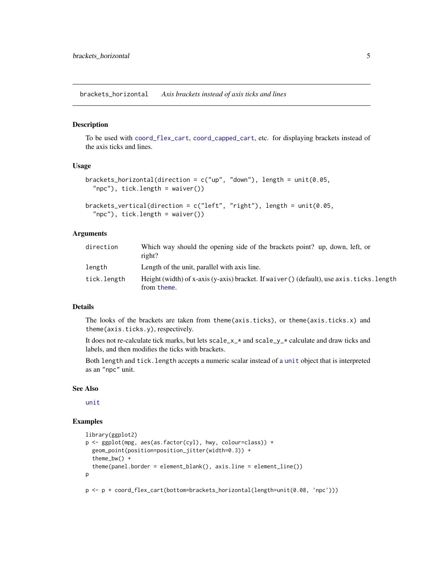<span id="page-4-1"></span><span id="page-4-0"></span>brackets\_horizontal *Axis brackets instead of axis ticks and lines*

#### <span id="page-4-2"></span>Description

To be used with [coord\\_flex\\_cart](#page-6-1), [coord\\_capped\\_cart](#page-5-1), etc. for displaying brackets instead of the axis ticks and lines.

#### Usage

```
brackets_horizontal(direction = c("up", "down"), length = unit(0.05, ...)"npc"), tick.length = waiver())
```

```
brackets_vertical(direction = c("left", "right"), length = unit(0.05,"npc"), tick.length = waiver())
```
#### Arguments

| direction   | Which way should the opening side of the brackets point? up, down, left, or<br>right?                     |
|-------------|-----------------------------------------------------------------------------------------------------------|
| length      | Length of the unit, parallel with axis line.                                                              |
| tick.length | Height (width) of x-axis (y-axis) bracket. If waiver () (default), use axis, ticks, length<br>from theme. |

#### Details

The looks of the brackets are taken from theme(axis.ticks), or theme(axis.ticks.x) and theme(axis.ticks.y), respectively.

It does not re-calculate tick marks, but lets  $scale_x *$  and  $scale_y *$  calculate and draw ticks and labels, and then modifies the ticks with brackets.

Both length and tick.length accepts a numeric scalar instead of a [unit](#page-0-0) object that is interpreted as an "npc" unit.

#### See Also

[unit](#page-0-0)

#### Examples

```
library(ggplot2)
p <- ggplot(mpg, aes(as.factor(cyl), hwy, colour=class)) +
 geom_point(position=position_jitter(width=0.3)) +
 theme_bw() +
 theme(panel.border = element_blank(), axis.line = element_line())
p
p <- p + coord_flex_cart(bottom=brackets_horizontal(length=unit(0.08, 'npc')))
```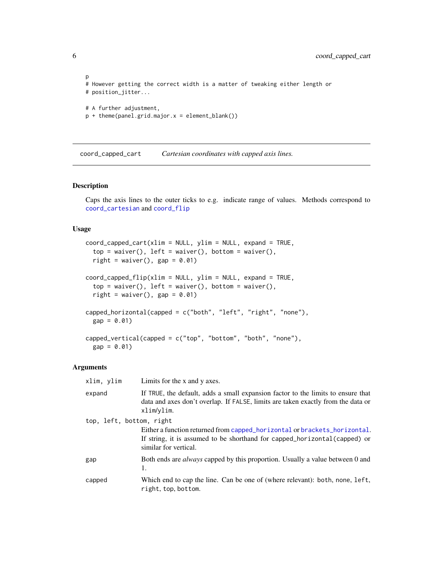```
p
# However getting the correct width is a matter of tweaking either length or
# position_jitter...
# A further adjustment,
p + theme(panel.grid.major.x = element_blank())
```
<span id="page-5-1"></span>coord\_capped\_cart *Cartesian coordinates with capped axis lines.*

#### <span id="page-5-2"></span>Description

Caps the axis lines to the outer ticks to e.g. indicate range of values. Methods correspond to [coord\\_cartesian](#page-0-0) and [coord\\_flip](#page-0-0)

#### Usage

```
coord_capped_cart(xlim = NULL, ylim = NULL, expand = TRUE,
  top = \text{waiver}(), left = waiver(), bottom = waiver(),
  right = waiver(), gap = 0.01)
coord_capped_flip(xlim = NULL, ylim = NULL, expand = TRUE,top = waire(), left = waire(), bottom = waiver(),
  right = waiver(), gap = 0.01)
capped_horizontal(capped = c("both", "left", "right", "none"),
 gap = 0.01capped_vertical(capped = c("top", "bottom", "both", "none"),
  gap = 0.01
```
# Arguments

| xlim, ylim               | Limits for the x and y axes.                                                                                                                                                       |  |
|--------------------------|------------------------------------------------------------------------------------------------------------------------------------------------------------------------------------|--|
| expand                   | If TRUE, the default, adds a small expansion factor to the limits to ensure that<br>data and axes don't overlap. If FALSE, limits are taken exactly from the data or<br>xlim/ylim. |  |
| top, left, bottom, right |                                                                                                                                                                                    |  |
|                          | Either a function returned from capped_horizontal or brackets_horizontal.<br>If string, it is assumed to be shorthand for capped_horizontal(capped) or<br>similar for vertical.    |  |
| gap                      | Both ends are <i>always</i> capped by this proportion. Usually a value between 0 and<br>1.                                                                                         |  |
| capped                   | Which end to cap the line. Can be one of (where relevant): both, none, left,<br>right, top, bottom.                                                                                |  |

<span id="page-5-0"></span>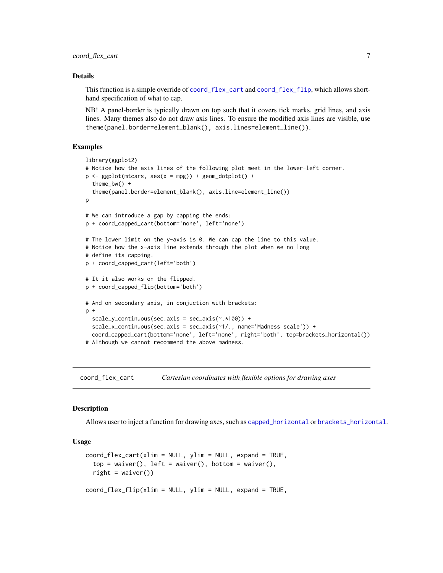#### <span id="page-6-0"></span>Details

This function is a simple override of [coord\\_flex\\_cart](#page-6-1) and [coord\\_flex\\_flip](#page-6-2), which allows shorthand specification of what to cap.

NB! A panel-border is typically drawn on top such that it covers tick marks, grid lines, and axis lines. Many themes also do not draw axis lines. To ensure the modified axis lines are visible, use theme(panel.border=element\_blank(), axis.lines=element\_line()).

#### Examples

```
library(ggplot2)
# Notice how the axis lines of the following plot meet in the lower-left corner.
p \leq - ggplot(mtcars, \text{aes}(x = mpg)) + geom_dotplot() +
 theme_bw() +
 theme(panel.border=element_blank(), axis.line=element_line())
p
# We can introduce a gap by capping the ends:
p + coord_capped_cart(bottom='none', left='none')
# The lower limit on the y-axis is 0. We can cap the line to this value.
# Notice how the x-axis line extends through the plot when we no long
# define its capping.
p + coord_capped_cart(left='both')
# It it also works on the flipped.
p + coord_capped_flip(bottom='both')
# And on secondary axis, in conjuction with brackets:
p +
 scale_y_continuous(sec.axis = sec_axis(~.*100)) +
 scale_x_continuous(sec.axis = sec_axis(~1/., name='Madness scale')) +
 coord_capped_cart(bottom='none', left='none', right='both', top=brackets_horizontal())
# Although we cannot recommend the above madness.
```
<span id="page-6-1"></span>coord\_flex\_cart *Cartesian coordinates with flexible options for drawing axes*

#### <span id="page-6-2"></span>**Description**

Allows user to inject a function for drawing axes, such as [capped\\_horizontal](#page-5-2) or [brackets\\_horizontal](#page-4-1).

#### Usage

```
coord_flex_cart(xlim = NULL, ylim = NULL, expand = TRUE,top = \text{waiver}(), left = \text{waiver}(), bottom = waiver(),
  right = waiver())
coord_flex_flip(xlim = NULL, ylim = NULL, expand = TRUE,
```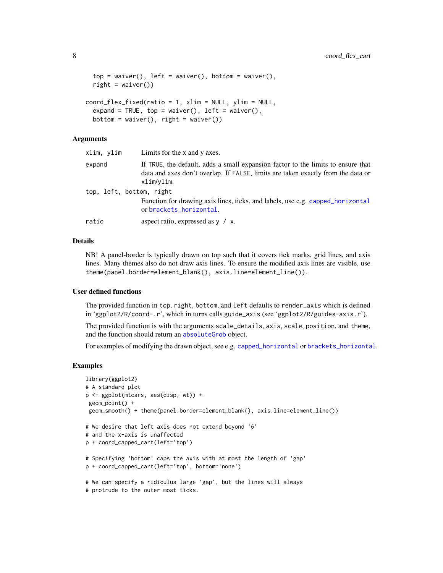```
top = \text{waiver}(), left = waiver(), bottom = waiver(),
  right = <math>w</math> diver(1)coord_flex_fixed(ratio = 1, xlim = NULL, ylim = NULL,
  expand = TRUE, top = waiver(), left = waiver(),
  bottom = waiver(), right = waiver())
```
#### Arguments

| xlim, ylim               | Limits for the x and y axes.                                                                                                                                                       |
|--------------------------|------------------------------------------------------------------------------------------------------------------------------------------------------------------------------------|
| expand                   | If TRUE, the default, adds a small expansion factor to the limits to ensure that<br>data and axes don't overlap. If FALSE, limits are taken exactly from the data or<br>xlim/ylim. |
| top, left, bottom, right |                                                                                                                                                                                    |
|                          | Function for drawing axis lines, ticks, and labels, use e.g. capped_horizontal<br>or brackets_horizontal.                                                                          |
| ratio                    | aspect ratio, expressed as $y / x$ .                                                                                                                                               |

#### Details

NB! A panel-border is typically drawn on top such that it covers tick marks, grid lines, and axis lines. Many themes also do not draw axis lines. To ensure the modified axis lines are visible, use theme(panel.border=element\_blank(), axis.line=element\_line()).

#### User defined functions

The provided function in top, right, bottom, and left defaults to render\_axis which is defined in 'ggplot2/R/coord-.r', which in turns calls guide\_axis (see 'ggplot2/R/guides-axis.r').

The provided function is with the arguments scale\_details, axis, scale, position, and theme, and the function should return an [absoluteGrob](#page-0-0) object.

For examples of modifying the drawn object, see e.g. [capped\\_horizontal](#page-5-2) or [brackets\\_horizontal](#page-4-1).

#### Examples

```
library(ggplot2)
# A standard plot
p <- ggplot(mtcars, aes(disp, wt)) +
geom_point() +
geom_smooth() + theme(panel.border=element_blank(), axis.line=element_line())
# We desire that left axis does not extend beyond '6'
# and the x-axis is unaffected
p + coord_capped_cart(left='top')
# Specifying 'bottom' caps the axis with at most the length of 'gap'
p + coord_capped_cart(left='top', bottom='none')
# We can specify a ridiculus large 'gap', but the lines will always
# protrude to the outer most ticks.
```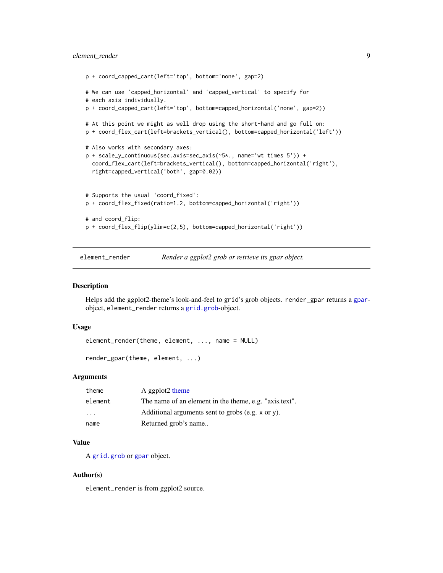# <span id="page-8-0"></span>element\_render 9

```
p + coord_capped_cart(left='top', bottom='none', gap=2)
# We can use 'capped_horizontal' and 'capped_vertical' to specify for
# each axis individually.
p + coord_capped_cart(left='top', bottom=capped_horizontal('none', gap=2))
# At this point we might as well drop using the short-hand and go full on:
p + coord_flex_cart(left=brackets_vertical(), bottom=capped_horizontal('left'))
# Also works with secondary axes:
p + scale_y_continuous(sec.axis=sec_axis(~5*., name='wt times 5')) +
 coord_flex_cart(left=brackets_vertical(), bottom=capped_horizontal('right'),
 right=capped_vertical('both', gap=0.02))
# Supports the usual 'coord_fixed':
p + coord_flex_fixed(ratio=1.2, bottom=capped_horizontal('right'))
# and coord_flip:
p + coord_flex_flip(ylim=c(2,5), bottom=capped_horizontal('right'))
```
element\_render *Render a ggplot2 grob or retrieve its gpar object.*

#### Description

Helps add the ggplot2-theme's look-and-feel to grid's grob objects. render\_gpar returns a [gpar](#page-0-0)object, element\_render returns a [grid.grob](#page-0-0)-object.

#### Usage

element\_render(theme, element, ..., name = NULL)

```
render_gpar(theme, element, ...)
```
#### Arguments

| theme   | A ggplot2 theme                                        |
|---------|--------------------------------------------------------|
| element | The name of an element in the theme, e.g. "axis.text". |
| $\cdot$ | Additional arguments sent to grobs (e.g. x or y).      |
| name    | Returned grob's name                                   |

#### Value

A [grid.grob](#page-0-0) or [gpar](#page-0-0) object.

#### Author(s)

element\_render is from ggplot2 source.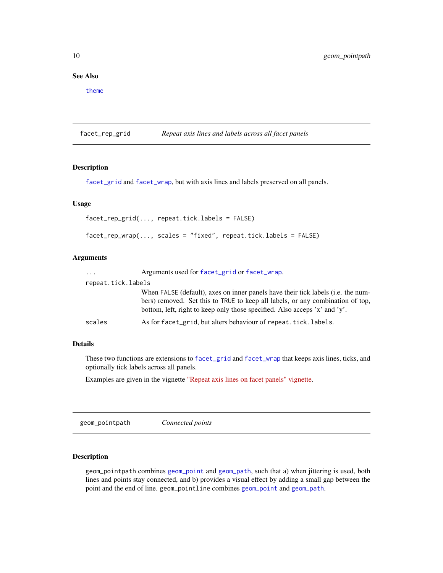### <span id="page-9-0"></span>See Also

[theme](#page-0-0)

<span id="page-9-1"></span>facet\_rep\_grid *Repeat axis lines and labels across all facet panels*

# <span id="page-9-2"></span>Description

[facet\\_grid](#page-0-0) and [facet\\_wrap](#page-0-0), but with axis lines and labels preserved on all panels.

# Usage

```
facet_rep_grid(..., repeat.tick.labels = FALSE)
```

```
factor_{prep\_wrap(..., scales = "fixed", repeat.title_labels = FALSE)}
```
#### Arguments

| $\cdots$           | Arguments used for facet_grid or facet_wrap.                                                                                                                                                                                                     |
|--------------------|--------------------------------------------------------------------------------------------------------------------------------------------------------------------------------------------------------------------------------------------------|
| repeat.tick.labels |                                                                                                                                                                                                                                                  |
|                    | When FALSE (default), axes on inner panels have their tick labels (i.e. the num-<br>bers) removed. Set this to TRUE to keep all labels, or any combination of top,<br>bottom, left, right to keep only those specified. Also acceps 'x' and 'y'. |
| scales             | As for facet_grid, but alters behaviour of repeat.tick.labels.                                                                                                                                                                                   |

#### Details

These two functions are extensions to [facet\\_grid](#page-0-0) and [facet\\_wrap](#page-0-0) that keeps axis lines, ticks, and optionally tick labels across all panels.

Examples are given in the vignette ["Repeat axis lines on facet panels" vignette.](../doc/facet-rep-labels.html)

geom\_pointpath *Connected points*

#### Description

geom\_pointpath combines [geom\\_point](#page-0-0) and [geom\\_path](#page-0-0), such that a) when jittering is used, both lines and points stay connected, and b) provides a visual effect by adding a small gap between the point and the end of line. geom\_pointline combines [geom\\_point](#page-0-0) and [geom\\_path](#page-0-0).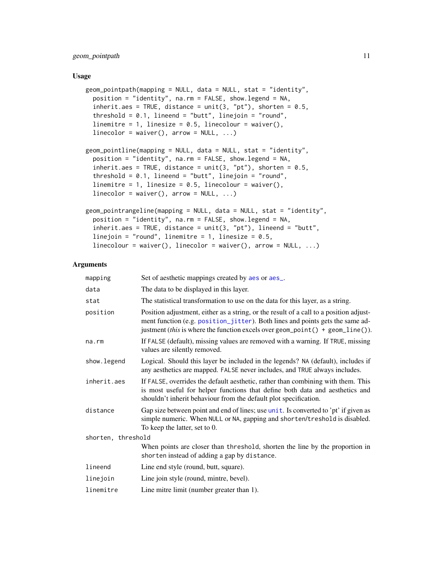# <span id="page-10-0"></span>geom\_pointpath 11

#### Usage

```
geom_pointpath(mapping = NULL, data = NULL, stat = "identity",
 position = "identity", na.rm = FALSE, show.legend = NA,
  inherit.aes = TRUE, distance = unit(3, "pt"), shorten = 0.5,
  threshold = 0.1, lineend = "butt", linejoin = "round",
  linemitre = 1, linesize = 0.5, linecolour = waiver(),
  linecolor = waire(), arrow = NULL, ...)
geom_pointline(mapping = NULL, data = NULL, stat = "identity",
  position = "identity", na.rm = FALSE, show.legend = NA,
  inherit.aes = TRUE, distance = unit(3, "pt"), shorten = 0.5,
  threshold = 0.1, lineend = "butt", linejoin = "round",
  linemitre = 1, linesize = 0.5, linecolour = waiver(),
  linecolor = waire(), arrow = NULL, ...)
geom_pointrangeline(mapping = NULL, data = NULL, stat = "identity",
  position = "identity", na.rm = FALSE, show.legend = NA,
  inherit.aes = TRUE, distance = unit(3, "pt"), lineend = "butt",
  linejoin = "round", linemitre = 1, linesize = 0.5,
  linecolor = waire(), linecolor = waiver(), arrow = NULL, ...)
```
# Arguments

| mapping            | Set of aesthetic mappings created by aes or aes                                                                                                                                                                                                          |
|--------------------|----------------------------------------------------------------------------------------------------------------------------------------------------------------------------------------------------------------------------------------------------------|
| data               | The data to be displayed in this layer.                                                                                                                                                                                                                  |
| stat               | The statistical transformation to use on the data for this layer, as a string.                                                                                                                                                                           |
| position           | Position adjustment, either as a string, or the result of a call to a position adjust-<br>ment function (e.g. position_jitter). Both lines and points gets the same ad-<br>justment (this is where the function excels over geom_point() + geom_line()). |
| na.rm              | If FALSE (default), missing values are removed with a warning. If TRUE, missing<br>values are silently removed.                                                                                                                                          |
| show.legend        | Logical. Should this layer be included in the legends? NA (default), includes if<br>any aesthetics are mapped. FALSE never includes, and TRUE always includes.                                                                                           |
| inherit.aes        | If FALSE, overrides the default aesthetic, rather than combining with them. This<br>is most useful for helper functions that define both data and aesthetics and<br>shouldn't inherit behaviour from the default plot specification.                     |
| distance           | Gap size between point and end of lines; use unit. Is converted to 'pt' if given as<br>simple numeric. When NULL or NA, gapping and shorten/treshold is disabled.<br>To keep the latter, set to 0.                                                       |
| shorten, threshold |                                                                                                                                                                                                                                                          |
|                    | When points are closer than threshold, shorten the line by the proportion in<br>shorten instead of adding a gap by distance.                                                                                                                             |
| lineend            | Line end style (round, butt, square).                                                                                                                                                                                                                    |
| linejoin           | Line join style (round, mintre, bevel).                                                                                                                                                                                                                  |
| linemitre          | Line mitre limit (number greater than 1).                                                                                                                                                                                                                |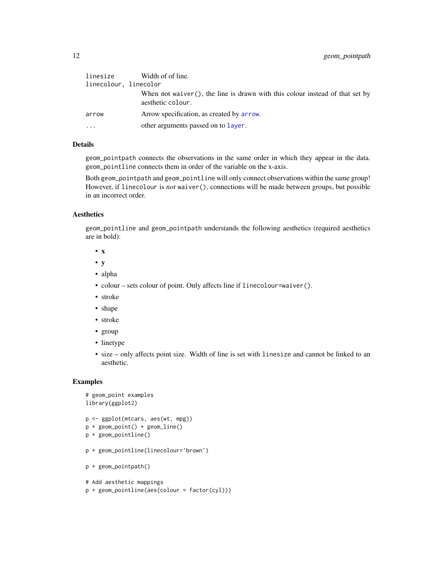<span id="page-11-0"></span>

| linesize              | Width of of line.                                                                                 |
|-----------------------|---------------------------------------------------------------------------------------------------|
| linecolour, linecolor |                                                                                                   |
|                       | When not waiver(), the line is drawn with this colour instead of that set by<br>aesthetic colour. |
| arrow                 | Arrow specification, as created by arrow.                                                         |
| .                     | other arguments passed on to layer.                                                               |

# Details

geom\_pointpath connects the observations in the same order in which they appear in the data. geom\_pointline connects them in order of the variable on the x-axis.

Both geom\_pointpath and geom\_pointline will only connect observations within the same group! However, if linecolour is *not* waiver(), connections will be made between groups, but possible in an incorrect order.

# **Aesthetics**

geom\_pointline and geom\_pointpath understands the following aesthetics (required aesthetics are in bold):

- x
- y
- alpha
- colour sets colour of point. Only affects line if linecolour=waiver().
- stroke
- shape
- stroke
- group
- linetype
- size only affects point size. Width of line is set with linesize and cannot be linked to an aesthetic.

#### Examples

```
# geom_point examples
library(ggplot2)
p <- ggplot(mtcars, aes(wt, mpg))
p + geom_point() + geom_line()
p + geom_pointline()
p + geom_pointline(linecolour='brown')
p + geom_pointpath()
# Add aesthetic mappings
p + geom_pointline(aes(colour = factor(cyl)))
```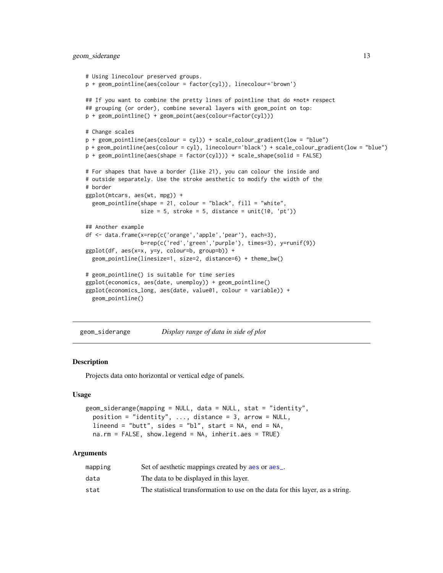# <span id="page-12-0"></span>geom\_siderange 13

```
# Using linecolour preserved groups.
p + geom_pointline(aes(colour = factor(cyl)), linecolour='brown')
## If you want to combine the pretty lines of pointline that do *not* respect
## grouping (or order), combine several layers with geom_point on top:
p + geom_pointline() + geom_point(aes(colour=factor(cyl)))
# Change scales
p + geom\_pointline(aes(colour = cyl)) + scale\_colour\_gradient(low = "blue")p + geom_pointline(aes(colour = cyl), linecolour='black') + scale_colour_gradient(low = "blue")
p + geom\_pointline(aes(shape = factor(cyl))) + scale\_shape(solid = FALSE)# For shapes that have a border (like 21), you can colour the inside and
# outside separately. Use the stroke aesthetic to modify the width of the
# border
ggplot(mtcars, aes(wt, mpg)) +
 geom_pointline(shape = 21, colour = "black", fill = "white",
                 size = 5, stroke = 5, distance = unit(10, 'pt'))## Another example
df <- data.frame(x=rep(c('orange','apple','pear'), each=3),
                 b=rep(c('red','green','purple'), times=3), y=runif(9))
ggplot(df, aes(x=x, y=y, colour=b, group=b)) +
 geom_pointline(linesize=1, size=2, distance=6) + theme_bw()
# geom_pointline() is suitable for time series
ggplot(economics, aes(date, unemploy)) + geom_pointline()
ggplot(economics_long, aes(date, value01, colour = variable)) +
 geom_pointline()
```
geom\_siderange *Display range of data in side of plot*

#### Description

Projects data onto horizontal or vertical edge of panels.

#### Usage

```
geom_siderange(mapping = NULL, data = NULL, stat = "identity",
 position = "identity", ..., distance = 3, arrow = NULL,
  lineend = "butt", sides = "bl", start = NA, end = NA,na.rm = FALSE, show.legend = NA, inherit.aes = TRUE)
```
#### Arguments

| mapping | Set of aesthetic mappings created by a es or a es_.                            |
|---------|--------------------------------------------------------------------------------|
| data    | The data to be displayed in this layer.                                        |
| stat    | The statistical transformation to use on the data for this layer, as a string. |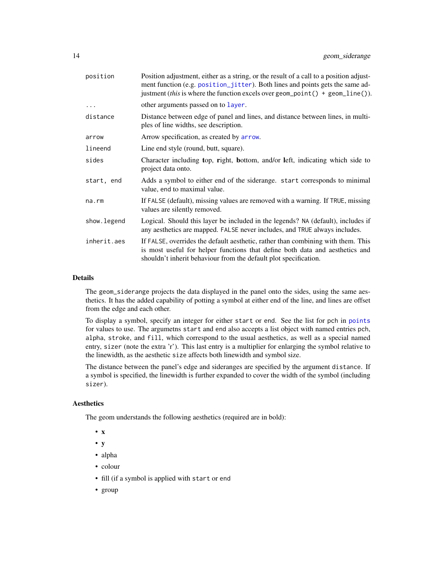<span id="page-13-0"></span>

| position    | Position adjustment, either as a string, or the result of a call to a position adjust-<br>ment function (e.g. position_jitter). Both lines and points gets the same ad-<br>justment (this is where the function excels over geom_point () + geom_line()). |
|-------------|-----------------------------------------------------------------------------------------------------------------------------------------------------------------------------------------------------------------------------------------------------------|
| $\cdots$    | other arguments passed on to layer.                                                                                                                                                                                                                       |
| distance    | Distance between edge of panel and lines, and distance between lines, in multi-<br>ples of line widths, see description.                                                                                                                                  |
| arrow       | Arrow specification, as created by arrow.                                                                                                                                                                                                                 |
| lineend     | Line end style (round, butt, square).                                                                                                                                                                                                                     |
| sides       | Character including top, right, bottom, and/or left, indicating which side to<br>project data onto.                                                                                                                                                       |
| start, end  | Adds a symbol to either end of the siderange. start corresponds to minimal<br>value, end to maximal value.                                                                                                                                                |
| na.rm       | If FALSE (default), missing values are removed with a warning. If TRUE, missing<br>values are silently removed.                                                                                                                                           |
| show.legend | Logical. Should this layer be included in the legends? NA (default), includes if<br>any aesthetics are mapped. FALSE never includes, and TRUE always includes.                                                                                            |
| inherit.aes | If FALSE, overrides the default aesthetic, rather than combining with them. This<br>is most useful for helper functions that define both data and aesthetics and<br>shouldn't inherit behaviour from the default plot specification.                      |
|             |                                                                                                                                                                                                                                                           |

#### Details

The geom\_siderange projects the data displayed in the panel onto the sides, using the same aesthetics. It has the added capability of potting a symbol at either end of the line, and lines are offset from the edge and each other.

To display a symbol, specify an integer for either start or end. See the list for pch in [points](#page-0-0) for values to use. The argumetns start and end also accepts a list object with named entries pch, alpha, stroke, and fill, which correspond to the usual aesthetics, as well as a special named entry, sizer (note the extra 'r'). This last entry is a multiplier for enlarging the symbol relative to the linewidth, as the aesthetic size affects both linewidth and symbol size.

The distance between the panel's edge and sideranges are specified by the argument distance. If a symbol is specified, the linewidth is further expanded to cover the width of the symbol (including sizer).

# **Aesthetics**

The geom understands the following aesthetics (required are in bold):

- x
- y
- alpha
- colour
- fill (if a symbol is applied with start or end
- group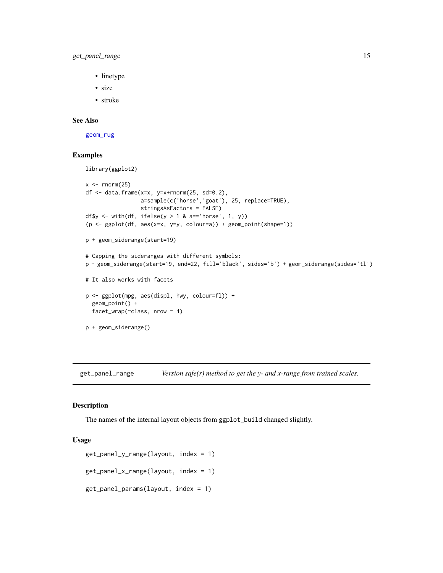<span id="page-14-0"></span>get\_panel\_range 15

- linetype
- size
- stroke

# See Also

[geom\\_rug](#page-0-0)

# Examples

```
library(ggplot2)
x < - rnorm(25)df <- data.frame(x=x, y=x+rnorm(25, sd=0.2),
                 a=sample(c('horse','goat'), 25, replace=TRUE),
                 stringsAsFactors = FALSE)
df$y <- with(df, ifelse(y > 1 & a=='horse', 1, y))
(p <- ggplot(df, aes(x=x, y=y, colour=a)) + geom_point(shape=1))
p + geom_siderange(start=19)
# Capping the sideranges with different symbols:
p + geom_siderange(start=19, end=22, fill='black', sides='b') + geom_siderange(sides='tl')
# It also works with facets
p <- ggplot(mpg, aes(displ, hwy, colour=fl)) +
  geom_point() +
  facet_wrap(~class, nrow = 4)
p + geom_siderange()
```
get\_panel\_range *Version safe(r) method to get the y- and x-range from trained scales.*

#### Description

The names of the internal layout objects from ggplot\_build changed slightly.

#### Usage

```
get_panel_y_range(layout, index = 1)
get_panel_x_range(layout, index = 1)
get_panel_params(layout, index = 1)
```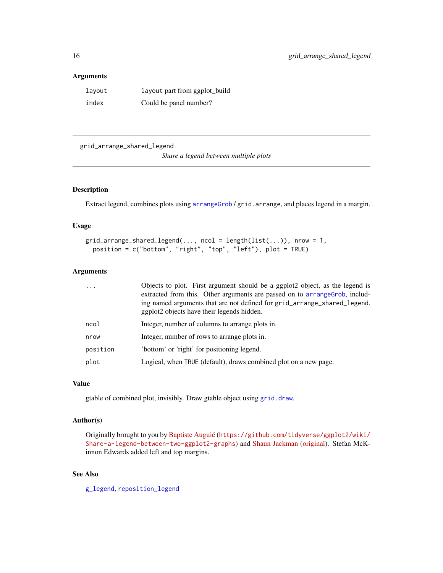#### <span id="page-15-0"></span>Arguments

| layout | layout part from ggplot_build |
|--------|-------------------------------|
| index  | Could be panel number?        |

<span id="page-15-1"></span>grid\_arrange\_shared\_legend

*Share a legend between multiple plots*

# Description

Extract legend, combines plots using [arrangeGrob](#page-0-0) / grid.arrange, and places legend in a margin.

# Usage

```
grid\_arrange\_shared\_legend(..., ncol = length(list(...)), nrow = 1,position = c("bottom", "right", "top", "left"), plot = TRUE)
```
# Arguments

| $\cdots$ | Objects to plot. First argument should be a ggplot2 object, as the legend is<br>extracted from this. Other arguments are passed on to arrange Grob, includ-<br>ing named arguments that are not defined for grid_arrange_shared_legend.<br>ggplot2 objects have their legends hidden. |
|----------|---------------------------------------------------------------------------------------------------------------------------------------------------------------------------------------------------------------------------------------------------------------------------------------|
| ncol     | Integer, number of columns to arrange plots in.                                                                                                                                                                                                                                       |
| nrow     | Integer, number of rows to arrange plots in.                                                                                                                                                                                                                                          |
| position | 'bottom' or 'right' for positioning legend.                                                                                                                                                                                                                                           |
| plot     | Logical, when TRUE (default), draws combined plot on a new page.                                                                                                                                                                                                                      |
|          |                                                                                                                                                                                                                                                                                       |

#### Value

gtable of combined plot, invisibly. Draw gtable object using [grid.draw](#page-0-0).

#### Author(s)

Originally brought to you by [Baptiste Auguié](http://baptiste.github.io/) ([https://github.com/tidyverse/ggplot2/wiki/](https://github.com/tidyverse/ggplot2/wiki/Share-a-legend-between-two-ggplot2-graphs) [Share-a-legend-between-two-ggplot2-graphs](https://github.com/tidyverse/ggplot2/wiki/Share-a-legend-between-two-ggplot2-graphs)) and [Shaun Jackman](http://rpubs.com/sjackman) [\(original\)](http://rpubs.com/sjackman/grid_arrange_shared_legend). Stefan McKinnon Edwards added left and top margins.

# See Also

[g\\_legend](#page-18-1), [reposition\\_legend](#page-23-1)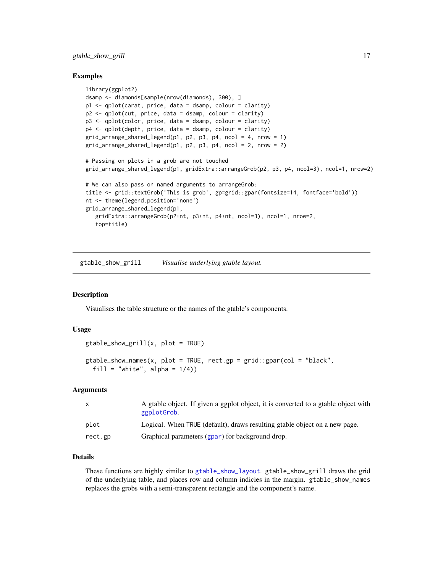<span id="page-16-0"></span>gtable\_show\_grill 17

#### Examples

```
library(ggplot2)
dsamp <- diamonds[sample(nrow(diamonds), 300), ]
p1 <- qplot(carat, price, data = dsamp, colour = clarity)
p2 <- qplot(cut, price, data = dsamp, colour = clarity)
p3 <- qplot(color, price, data = dsamp, colour = clarity)
p4 <- qplot(depth, price, data = dsamp, colour = clarity)
grid_arrange_shared_legend(p1, p2, p3, p4, ncol = 4, nrow = 1)grid_arrange_shared\_legend(p1, p2, p3, p4, ncol = 2, nrow = 2)# Passing on plots in a grob are not touched
grid_arrange_shared_legend(p1, gridExtra::arrangeGrob(p2, p3, p4, ncol=3), ncol=1, nrow=2)
# We can also pass on named arguments to arrangeGrob:
title <- grid::textGrob('This is grob', gp=grid::gpar(fontsize=14, fontface='bold'))
nt <- theme(legend.position='none')
grid_arrange_shared_legend(p1,
   gridExtra::arrangeGrob(p2+nt, p3+nt, p4+nt, ncol=3), ncol=1, nrow=2,
   top=title)
```
gtable\_show\_grill *Visualise underlying gtable layout.*

# <span id="page-16-1"></span>Description

Visualises the table structure or the names of the gtable's components.

#### Usage

```
gtable_show_grill(x, plot = TRUE)
```

```
gtable_show_names(x, plot = TRUE, rect.gp = grid::gpar(col = "black",
 fill = "white", alpha = 1/4))
```
#### Arguments

| X       | A gtable object. If given a ggplot object, it is converted to a gtable object with<br>ggplotGrob. |
|---------|---------------------------------------------------------------------------------------------------|
| plot    | Logical. When TRUE (default), draws resulting gtable object on a new page.                        |
| rect.gp | Graphical parameters (gpar) for background drop.                                                  |

# Details

These functions are highly similar to [gtable\\_show\\_layout](#page-0-0). gtable\_show\_grill draws the grid of the underlying table, and places row and column indicies in the margin. gtable\_show\_names replaces the grobs with a semi-transparent rectangle and the component's name.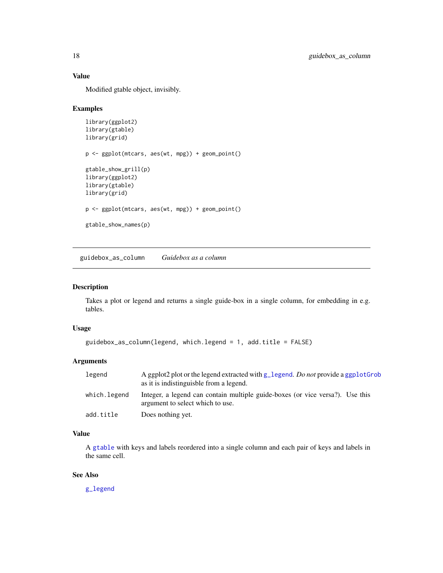# Value

Modified gtable object, invisibly.

#### Examples

```
library(ggplot2)
library(gtable)
library(grid)
p <- ggplot(mtcars, aes(wt, mpg)) + geom_point()
gtable_show_grill(p)
library(ggplot2)
library(gtable)
library(grid)
p <- ggplot(mtcars, aes(wt, mpg)) + geom_point()
gtable_show_names(p)
```
guidebox\_as\_column *Guidebox as a column*

#### Description

Takes a plot or legend and returns a single guide-box in a single column, for embedding in e.g. tables.

#### Usage

```
guidebox_as_column(legend, which.legend = 1, add.title = FALSE)
```
#### Arguments

| legend       | A ggplot2 plot or the legend extracted with g_legend. Do not provide a ggplotGrob<br>as it is indistinguishle from a legend. |
|--------------|------------------------------------------------------------------------------------------------------------------------------|
| which.legend | Integer, a legend can contain multiple guide-boxes (or vice versa?). Use this<br>argument to select which to use.            |
| add.title    | Does nothing yet.                                                                                                            |

# Value

A [gtable](#page-0-0) with keys and labels reordered into a single column and each pair of keys and labels in the same cell.

#### See Also

[g\\_legend](#page-18-1)

<span id="page-17-0"></span>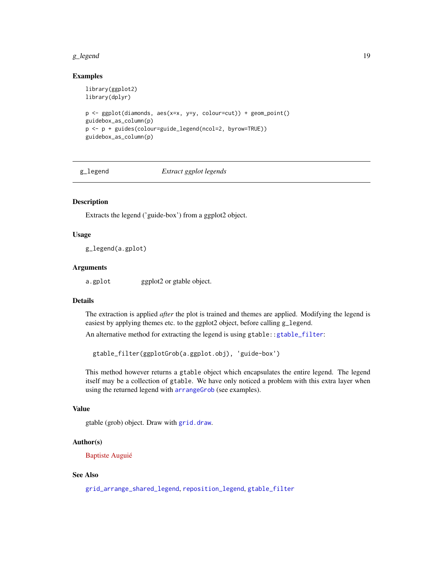#### <span id="page-18-0"></span>g\_legend 19

#### Examples

```
library(ggplot2)
library(dplyr)
p <- ggplot(diamonds, aes(x=x, y=y, colour=cut)) + geom_point()
guidebox_as_column(p)
p <- p + guides(colour=guide_legend(ncol=2, byrow=TRUE))
guidebox_as_column(p)
```
<span id="page-18-1"></span>g\_legend *Extract ggplot legends*

#### Description

Extracts the legend ('guide-box') from a ggplot2 object.

#### Usage

g\_legend(a.gplot)

#### Arguments

a.gplot ggplot2 or gtable object.

# Details

The extraction is applied *after* the plot is trained and themes are applied. Modifying the legend is easiest by applying themes etc. to the ggplot2 object, before calling g\_legend.

An alternative method for extracting the legend is using gtable:[:gtable\\_filter](#page-0-0):

gtable\_filter(ggplotGrob(a.ggplot.obj), 'guide-box')

This method however returns a gtable object which encapsulates the entire legend. The legend itself may be a collection of gtable. We have only noticed a problem with this extra layer when using the returned legend with [arrangeGrob](#page-0-0) (see examples).

#### Value

gtable (grob) object. Draw with [grid.draw](#page-0-0).

#### Author(s)

[Baptiste Auguié](http://baptiste.github.io/)

#### See Also

[grid\\_arrange\\_shared\\_legend](#page-15-1), [reposition\\_legend](#page-23-1), [gtable\\_filter](#page-0-0)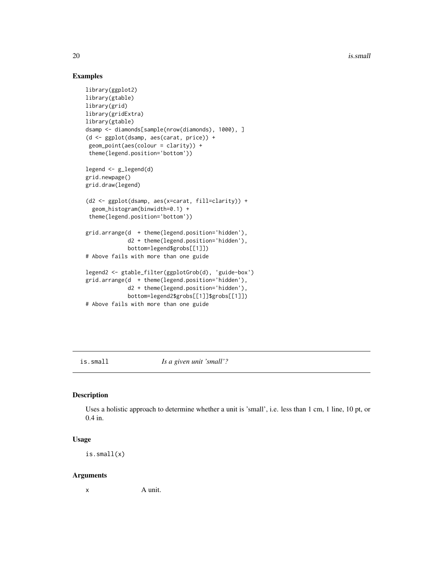20 is.small

## Examples

```
library(ggplot2)
library(gtable)
library(grid)
library(gridExtra)
library(gtable)
dsamp <- diamonds[sample(nrow(diamonds), 1000), ]
(d <- ggplot(dsamp, aes(carat, price)) +
 geom_point(aes(colour = clarity)) +
 theme(legend.position='bottom'))
legend <- g_legend(d)
grid.newpage()
grid.draw(legend)
(d2 <- ggplot(dsamp, aes(x=carat, fill=clarity)) +
  geom_histogram(binwidth=0.1) +
 theme(legend.position='bottom'))
grid.arrange(d + theme(legend.position='hidden'),
             d2 + theme(legend.position='hidden'),
             bottom=legend$grobs[[1]])
# Above fails with more than one guide
legend2 <- gtable_filter(ggplotGrob(d), 'guide-box')
grid.arrange(d + theme(legend.position='hidden'),
             d2 + theme(legend.position='hidden'),
             bottom=legend2$grobs[[1]]$grobs[[1]])
# Above fails with more than one guide
```
is.small *Is a given unit 'small'?*

# Description

Uses a holistic approach to determine whether a unit is 'small', i.e. less than 1 cm, 1 line, 10 pt, or 0.4 in.

#### Usage

is.small(x)

#### Arguments

x A unit.

<span id="page-19-0"></span>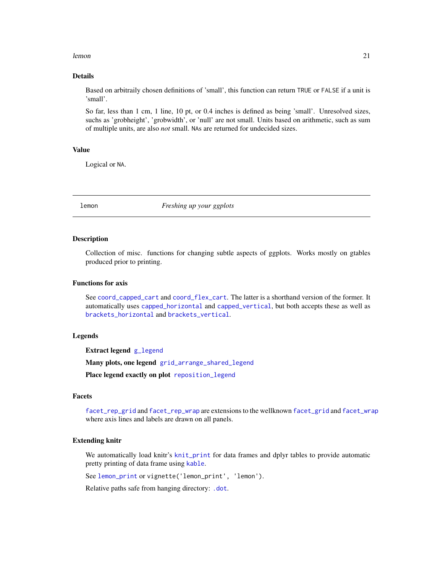#### <span id="page-20-0"></span>lemon 21

# Details

Based on arbitraily chosen definitions of 'small', this function can return TRUE or FALSE if a unit is 'small'.

So far, less than 1 cm, 1 line, 10 pt, or 0.4 inches is defined as being 'small'. Unresolved sizes, suchs as 'grobheight', 'grobwidth', or 'null' are not small. Units based on arithmetic, such as sum of multiple units, are also *not* small. NAs are returned for undecided sizes.

#### Value

Logical or NA.

lemon *Freshing up your ggplots*

#### Description

Collection of misc. functions for changing subtle aspects of ggplots. Works mostly on gtables produced prior to printing.

# Functions for axis

See [coord\\_capped\\_cart](#page-5-1) and [coord\\_flex\\_cart](#page-6-1). The latter is a shorthand version of the former. It automatically uses [capped\\_horizontal](#page-5-2) and [capped\\_vertical](#page-5-2), but both accepts these as well as [brackets\\_horizontal](#page-4-1) and [brackets\\_vertical](#page-4-2).

#### Legends

Extract legend [g\\_legend](#page-18-1)

Many plots, one legend [grid\\_arrange\\_shared\\_legend](#page-15-1)

Place legend exactly on plot [reposition\\_legend](#page-23-1)

#### Facets

[facet\\_rep\\_grid](#page-9-1) and [facet\\_rep\\_wrap](#page-9-2) are extensions to the wellknown [facet\\_grid](#page-0-0) and [facet\\_wrap](#page-0-0) where axis lines and labels are drawn on all panels.

#### Extending knitr

We automatically load knitr's [knit\\_print](#page-0-0) for data frames and dplyr tables to provide automatic pretty printing of data frame using [kable](#page-0-0).

See [lemon\\_print](#page-21-1) or vignette('lemon\_print', 'lemon').

Relative paths safe from hanging directory: [.dot](#page-1-1).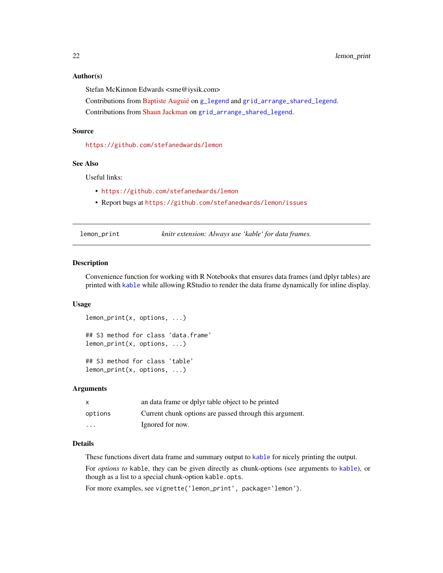#### <span id="page-21-0"></span>Author(s)

Stefan McKinnon Edwards <sme@iysik.com>

Contributions from [Baptiste Auguié](http://baptiste.github.io/) on [g\\_legend](#page-18-1) and [grid\\_arrange\\_shared\\_legend](#page-15-1).

Contributions from [Shaun Jackman](http://rpubs.com/sjackman) on [grid\\_arrange\\_shared\\_legend](#page-15-1).

#### Source

<https://github.com/stefanedwards/lemon>

#### See Also

Useful links:

- <https://github.com/stefanedwards/lemon>
- Report bugs at <https://github.com/stefanedwards/lemon/issues>

<span id="page-21-1"></span>lemon\_print *knitr extension: Always use 'kable' for data frames.*

#### Description

Convenience function for working with R Notebooks that ensures data frames (and dplyr tables) are printed with [kable](#page-0-0) while allowing RStudio to render the data frame dynamically for inline display.

#### Usage

```
lemon_print(x, options, ...)
## S3 method for class 'data.frame'
lemon_print(x, options, ...)
## S3 method for class 'table'
lemon_print(x, options, ...)
```
#### Arguments

| $\mathsf{x}$            | an data frame or dplyr table object to be printed       |
|-------------------------|---------------------------------------------------------|
| options                 | Current chunk options are passed through this argument. |
| $\cdot$ $\cdot$ $\cdot$ | Ignored for now.                                        |

# Details

These functions divert data frame and summary output to [kable](#page-0-0) for nicely printing the output.

For *options to* kable, they can be given directly as chunk-options (see arguments to [kable](#page-0-0)), or though as a list to a special chunk-option kable.opts.

For more examples, see vignette('lemon\_print', package='lemon').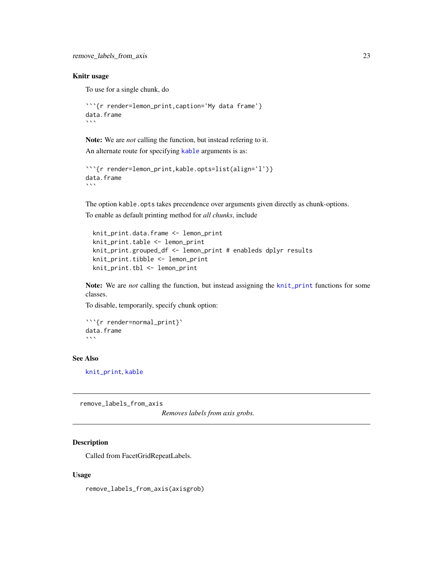#### <span id="page-22-0"></span>Knitr usage

To use for a single chunk, do

```
```{r render=lemon_print,caption='My data frame'}
data.frame
\sqrt{2}
```
Note: We are *not* calling the function, but instead refering to it. An alternate route for specifying [kable](#page-0-0) arguments is as:

```
```{r render=lemon_print,kable.opts=list(align='l')}
data.frame
\sqrt{2}
```
The option kable.opts takes precendence over arguments given directly as chunk-options. To enable as default printing method for *all chunks*, include

```
knit_print.data.frame <- lemon_print
knit_print.table <- lemon_print
knit_print.grouped_df <- lemon_print # enableds dplyr results
knit_print.tibble <- lemon_print
knit_print.tbl <- lemon_print
```
Note: We are *not* calling the function, but instead assigning the [knit\\_print](#page-0-0) functions for some classes.

To disable, temporarily, specify chunk option:

```
```{r render=normal_print}`
data.frame
\sqrt{2}
```
#### See Also

[knit\\_print](#page-0-0), [kable](#page-0-0)

remove\_labels\_from\_axis

*Removes labels from axis grobs.*

#### **Description**

Called from FacetGridRepeatLabels.

#### Usage

remove\_labels\_from\_axis(axisgrob)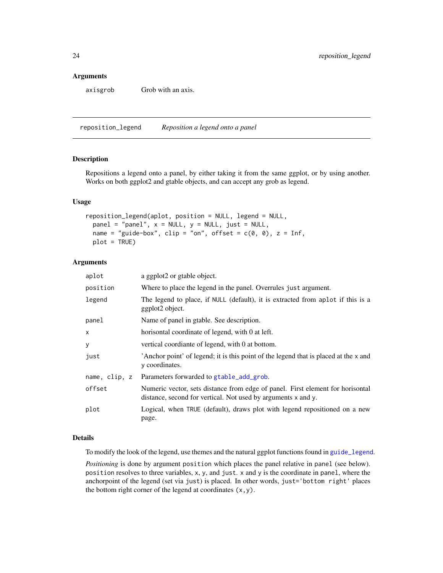#### <span id="page-23-0"></span>Arguments

axisgrob Grob with an axis.

<span id="page-23-1"></span>reposition\_legend *Reposition a legend onto a panel*

# Description

Repositions a legend onto a panel, by either taking it from the same ggplot, or by using another. Works on both ggplot2 and gtable objects, and can accept any grob as legend.

#### Usage

```
reposition_legend(aplot, position = NULL, legend = NULL,
 panel = "panel", x = NULL, y = NULL, just = NULL,name = "guide-box", clip = "on", offset = c(0, 0), z = Inf,
 plot = TRUE)
```
# Arguments

| aplot         | a ggplot2 or gtable object.                                                                                                                     |
|---------------|-------------------------------------------------------------------------------------------------------------------------------------------------|
| position      | Where to place the legend in the panel. Overrules just argument.                                                                                |
| legend        | The legend to place, if NULL (default), it is extracted from aplot if this is a<br>ggplot2 object.                                              |
| panel         | Name of panel in gtable. See description.                                                                                                       |
| x             | horisontal coordinate of legend, with 0 at left.                                                                                                |
| у             | vertical coordiante of legend, with 0 at bottom.                                                                                                |
| just          | Anchor point' of legend; it is this point of the legend that is placed at the x and<br>y coordinates.                                           |
| name, clip, z | Parameters forwarded to gtable_add_grob.                                                                                                        |
| offset        | Numeric vector, sets distance from edge of panel. First element for horisontal<br>distance, second for vertical. Not used by arguments x and y. |
| plot          | Logical, when TRUE (default), draws plot with legend repositioned on a new<br>page.                                                             |

# Details

To modify the look of the legend, use themes and the natural ggplot functions found in [guide\\_legend](#page-0-0).

*Positioning* is done by argument position which places the panel relative in panel (see below). position resolves to three variables, x, y, and just. x and y is the coordinate in panel, where the anchorpoint of the legend (set via just) is placed. In other words, just='bottom right' places the bottom right corner of the legend at coordinates  $(x, y)$ .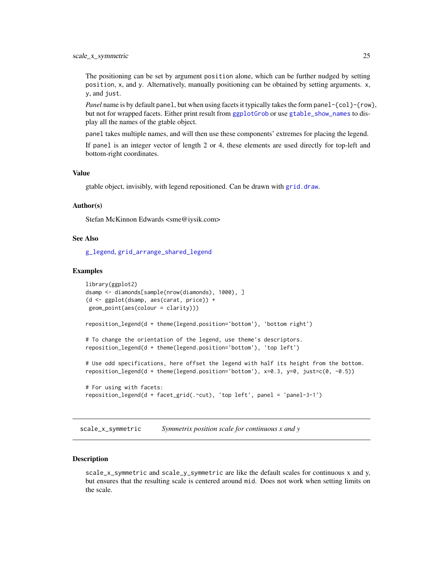<span id="page-24-0"></span>The positioning can be set by argument position alone, which can be further nudged by setting position, x, and y. Alternatively, manually positioning can be obtained by setting arguments. x, y, and just.

*Panel* name is by default panel, but when using facets it typically takes the form panel-{col}-{row}, but not for wrapped facets. Either print result from [ggplotGrob](#page-0-0) or use [gtable\\_show\\_names](#page-16-1) to display all the names of the gtable object.

panel takes multiple names, and will then use these components' extremes for placing the legend.

If panel is an integer vector of length 2 or 4, these elements are used directly for top-left and bottom-right coordinates.

#### Value

gtable object, invisibly, with legend repositioned. Can be drawn with [grid.draw](#page-0-0).

#### Author(s)

Stefan McKinnon Edwards <sme@iysik.com>

#### See Also

[g\\_legend](#page-18-1), [grid\\_arrange\\_shared\\_legend](#page-15-1)

#### Examples

```
library(ggplot2)
dsamp <- diamonds[sample(nrow(diamonds), 1000), ]
(d <- ggplot(dsamp, aes(carat, price)) +
geom_point(aes(colour = clarity)))
reposition_legend(d + theme(legend.position='bottom'), 'bottom right')
# To change the orientation of the legend, use theme's descriptors.
reposition_legend(d + theme(legend.position='bottom'), 'top left')
# Use odd specifications, here offset the legend with half its height from the bottom.
reposition_legend(d + theme(legend.position='bottom'), x=0.3, y=0, just=c(0, -0.5))
# For using with facets:
reposition_legend(d + facet_grid(.~cut), 'top left', panel = 'panel-3-1')
```
scale\_x\_symmetric *Symmetrix position scale for continuous x and y*

#### **Description**

scale\_x\_symmetric and scale\_y\_symmetric are like the default scales for continuous x and y, but ensures that the resulting scale is centered around mid. Does not work when setting limits on the scale.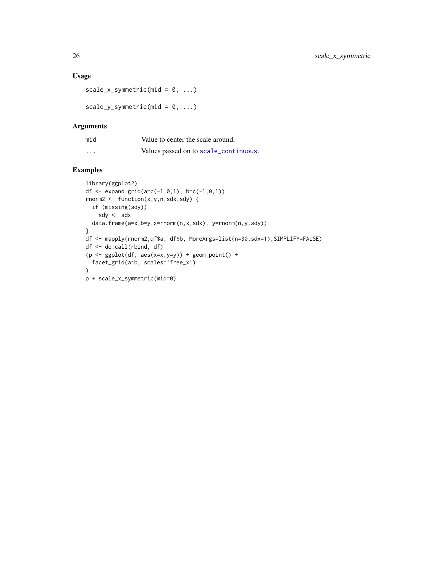# <span id="page-25-0"></span>Usage

```
scale_x_symmetric(mid = 0, ...)
```
scale\_y\_symmetric(mid =  $0, ...$ )

#### Arguments

| mid      | Value to center the scale around.     |
|----------|---------------------------------------|
| $\cdots$ | Values passed on to scale_continuous. |

# Examples

```
library(ggplot2)
df <- expand.grid(a=c(-1, 0, 1), b=c(-1, 0, 1))
rnorm2 <- function(x,y,n,sdx,sdy) {
 if (missing(sdy))
    sdy <- sdx
  data.frame(a=x,b=y,x=rnorm(n,x,sdx), y=rnorm(n,y,sdy))
}
df <- mapply(rnorm2,df$a, df$b, MoreArgs=list(n=30,sdx=1),SIMPLIFY=FALSE)
df <- do.call(rbind, df)
(p \leftarrow \text{gplot}(df, \text{aes}(x=x,y=y)) + \text{geom\_point}( ) +facet_grid(a~b, scales='free_x')
\lambdap + scale_x_symmetric(mid=0)
```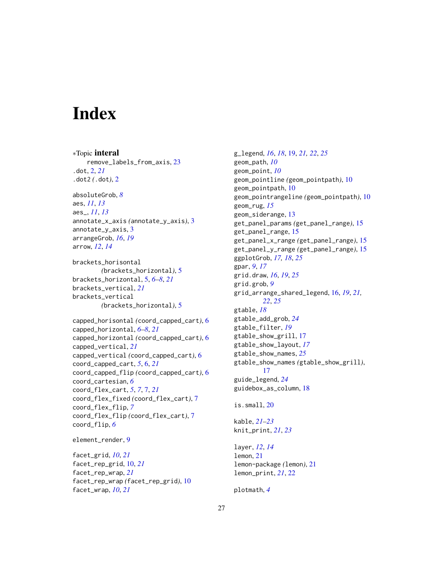# <span id="page-26-0"></span>**Index**

∗Topic interal remove\_labels\_from\_axis, [23](#page-22-0) .dot, [2,](#page-1-0) *[21](#page-20-0)* .dot2 *(*.dot*)*, [2](#page-1-0) absoluteGrob, *[8](#page-7-0)* aes, *[11](#page-10-0)*, *[13](#page-12-0)* aes\_, *[11](#page-10-0)*, *[13](#page-12-0)* annotate\_x\_axis *(*annotate\_y\_axis*)*, [3](#page-2-0) annotate\_y\_axis, [3](#page-2-0) arrangeGrob, *[16](#page-15-0)*, *[19](#page-18-0)* arrow, *[12](#page-11-0)*, *[14](#page-13-0)* brackets\_horisontal *(*brackets\_horizontal*)*, [5](#page-4-0) brackets\_horizontal, [5,](#page-4-0) *[6–](#page-5-0)[8](#page-7-0)*, *[21](#page-20-0)* brackets\_vertical, *[21](#page-20-0)* brackets\_vertical *(*brackets\_horizontal*)*, [5](#page-4-0) capped\_horisontal *(*coord\_capped\_cart*)*, [6](#page-5-0) capped\_horizontal, *[6–](#page-5-0)[8](#page-7-0)*, *[21](#page-20-0)* capped\_horizontal *(*coord\_capped\_cart*)*, [6](#page-5-0) capped\_vertical, *[21](#page-20-0)* capped\_vertical *(*coord\_capped\_cart*)*, [6](#page-5-0) coord\_capped\_cart, *[5](#page-4-0)*, [6,](#page-5-0) *[21](#page-20-0)* coord\_capped\_flip *(*coord\_capped\_cart*)*, [6](#page-5-0) coord\_cartesian, *[6](#page-5-0)* coord\_flex\_cart, *[5](#page-4-0)*, *[7](#page-6-0)*, [7,](#page-6-0) *[21](#page-20-0)* coord\_flex\_fixed *(*coord\_flex\_cart*)*, [7](#page-6-0) coord\_flex\_flip, *[7](#page-6-0)* coord\_flex\_flip *(*coord\_flex\_cart*)*, [7](#page-6-0) coord\_flip, *[6](#page-5-0)* element\_render, [9](#page-8-0)

facet\_grid, *[10](#page-9-0)*, *[21](#page-20-0)* facet\_rep\_grid, [10,](#page-9-0) *[21](#page-20-0)* facet\_rep\_wrap, *[21](#page-20-0)* facet\_rep\_wrap *(*facet\_rep\_grid*)*, [10](#page-9-0) facet\_wrap, *[10](#page-9-0)*, *[21](#page-20-0)*

g\_legend, *[16](#page-15-0)*, *[18](#page-17-0)*, [19,](#page-18-0) *[21,](#page-20-0) [22](#page-21-0)*, *[25](#page-24-0)* geom\_path, *[10](#page-9-0)* geom\_point, *[10](#page-9-0)* geom\_pointline *(*geom\_pointpath*)*, [10](#page-9-0) geom\_pointpath, [10](#page-9-0) geom\_pointrangeline *(*geom\_pointpath*)*, [10](#page-9-0) geom\_rug, *[15](#page-14-0)* geom\_siderange, [13](#page-12-0) get\_panel\_params *(*get\_panel\_range*)*, [15](#page-14-0) get\_panel\_range, [15](#page-14-0) get\_panel\_x\_range *(*get\_panel\_range*)*, [15](#page-14-0) get\_panel\_y\_range *(*get\_panel\_range*)*, [15](#page-14-0) ggplotGrob, *[17,](#page-16-0) [18](#page-17-0)*, *[25](#page-24-0)* gpar, *[9](#page-8-0)*, *[17](#page-16-0)* grid.draw, *[16](#page-15-0)*, *[19](#page-18-0)*, *[25](#page-24-0)* grid.grob, *[9](#page-8-0)* grid\_arrange\_shared\_legend, [16,](#page-15-0) *[19](#page-18-0)*, *[21,](#page-20-0) [22](#page-21-0)*, *[25](#page-24-0)* gtable, *[18](#page-17-0)* gtable\_add\_grob, *[24](#page-23-0)* gtable\_filter, *[19](#page-18-0)* gtable\_show\_grill, [17](#page-16-0) gtable\_show\_layout, *[17](#page-16-0)* gtable\_show\_names, *[25](#page-24-0)* gtable\_show\_names *(*gtable\_show\_grill*)*, [17](#page-16-0) guide\_legend, *[24](#page-23-0)* guidebox\_as\_column, [18](#page-17-0) is.small, [20](#page-19-0)

kable, *[21](#page-20-0)[–23](#page-22-0)* knit\_print, *[21](#page-20-0)*, *[23](#page-22-0)*

layer, *[12](#page-11-0)*, *[14](#page-13-0)* lemon, [21](#page-20-0) lemon-package *(*lemon*)*, [21](#page-20-0) lemon\_print, *[21](#page-20-0)*, [22](#page-21-0)

plotmath, *[4](#page-3-0)*